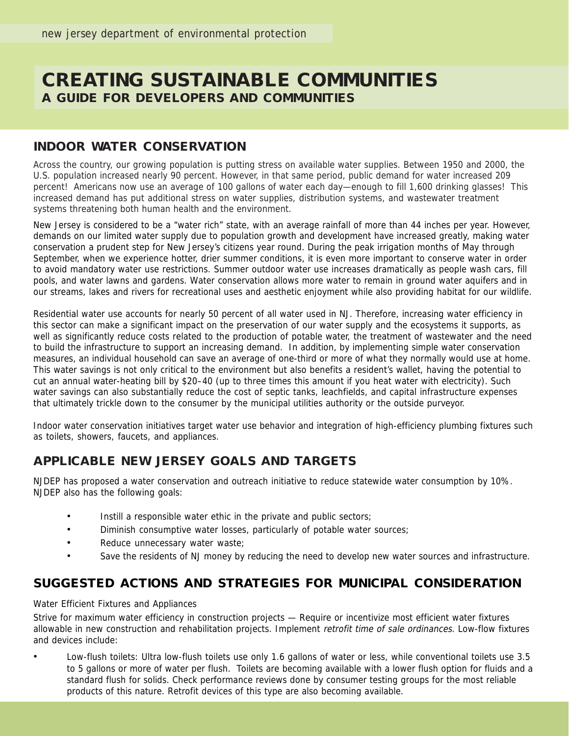# **CREATING SUSTAINABLE COMMUNITIES A GUIDE FOR DEVELOPERS AND COMMUNITIES**

#### **INDOOR WATER CONSERVATION**

Across the country, our growing population is putting stress on available water supplies. Between 1950 and 2000, the U.S. population increased nearly 90 percent. However, in that same period, public demand for water increased 209 percent! Americans now use an average of 100 gallons of water each day—enough to fill 1,600 drinking glasses! This increased demand has put additional stress on water supplies, distribution systems, and wastewater treatment systems threatening both human health and the environment.

New Jersey is considered to be a "water rich" state, with an average rainfall of more than 44 inches per year. However, demands on our limited water supply due to population growth and development have increased greatly, making water conservation a prudent step for New Jersey's citizens year round. During the peak irrigation months of May through September, when we experience hotter, drier summer conditions, it is even more important to conserve water in order to avoid mandatory water use restrictions. Summer outdoor water use increases dramatically as people wash cars, fill pools, and water lawns and gardens. Water conservation allows more water to remain in ground water aquifers and in our streams, lakes and rivers for recreational uses and aesthetic enjoyment while also providing habitat for our wildlife.

Residential water use accounts for nearly 50 percent of all water used in NJ. Therefore, increasing water efficiency in this sector can make a significant impact on the preservation of our water supply and the ecosystems it supports, as well as significantly reduce costs related to the production of potable water, the treatment of wastewater and the need to build the infrastructure to support an increasing demand. In addition, by implementing simple water conservation measures, an individual household can save an average of one-third or more of what they normally would use at home. This water savings is not only critical to the environment but also benefits a resident's wallet, having the potential to cut an annual water-heating bill by \$20–40 (up to three times this amount if you heat water with electricity). Such water savings can also substantially reduce the cost of septic tanks, leachfields, and capital infrastructure expenses that ultimately trickle down to the consumer by the municipal utilities authority or the outside purveyor.

Indoor water conservation initiatives target water use behavior and integration of high-efficiency plumbing fixtures such as toilets, showers, faucets, and appliances.

### **APPLICABLE NEW JERSEY GOALS AND TARGETS**

NJDEP has proposed a water conservation and outreach initiative to reduce statewide water consumption by 10%. NJDEP also has the following goals:

- Instill a responsible water ethic in the private and public sectors;
- Diminish consumptive water losses, particularly of potable water sources;
- Reduce unnecessary water waste;
- Save the residents of NJ money by reducing the need to develop new water sources and infrastructure.

### **SUGGESTED ACTIONS AND STRATEGIES FOR MUNICIPAL CONSIDERATION**

Water Efficient Fixtures and Appliances

Strive for maximum water efficiency in construction projects — Require or incentivize most efficient water fixtures allowable in new construction and rehabilitation projects. Implement retrofit time of sale ordinances. Low-flow fixtures and devices include:

• Low-flush toilets: Ultra low-flush toilets use only 1.6 gallons of water or less, while conventional toilets use 3.5 to 5 gallons or more of water per flush. Toilets are becoming available with a lower flush option for fluids and a standard flush for solids. Check performance reviews done by consumer testing groups for the most reliable products of this nature. Retrofit devices of this type are also becoming available.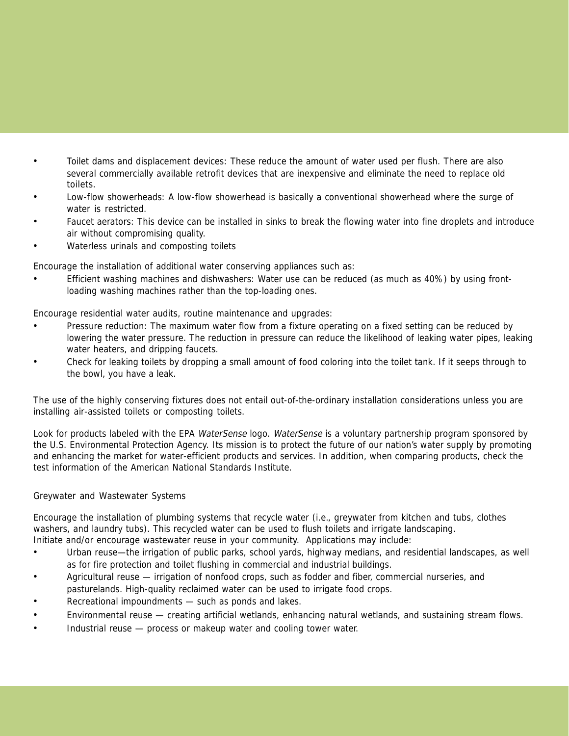- Toilet dams and displacement devices: These reduce the amount of water used per flush. There are also several commercially available retrofit devices that are inexpensive and eliminate the need to replace old toilets.
- Low-flow showerheads: A low-flow showerhead is basically a conventional showerhead where the surge of water is restricted.
- Faucet aerators: This device can be installed in sinks to break the flowing water into fine droplets and introduce air without compromising quality.
- Waterless urinals and composting toilets

Encourage the installation of additional water conserving appliances such as:

• Efficient washing machines and dishwashers: Water use can be reduced (as much as 40%) by using frontloading washing machines rather than the top-loading ones.

Encourage residential water audits, routine maintenance and upgrades:

- Pressure reduction: The maximum water flow from a fixture operating on a fixed setting can be reduced by lowering the water pressure. The reduction in pressure can reduce the likelihood of leaking water pipes, leaking water heaters, and dripping faucets.
- Check for leaking toilets by dropping a small amount of food coloring into the toilet tank. If it seeps through to the bowl, you have a leak.

The use of the highly conserving fixtures does not entail out-of-the-ordinary installation considerations unless you are installing air-assisted toilets or composting toilets.

Look for products labeled with the EPA WaterSense logo. WaterSense is a voluntary partnership program sponsored by the U.S. Environmental Protection Agency. Its mission is to protect the future of our nation's water supply by promoting and enhancing the market for water-efficient products and services. In addition, when comparing products, check the test information of the American National Standards Institute.

#### Greywater and Wastewater Systems

Encourage the installation of plumbing systems that recycle water (i.e., greywater from kitchen and tubs, clothes washers, and laundry tubs). This recycled water can be used to flush toilets and irrigate landscaping. Initiate and/or encourage wastewater reuse in your community. Applications may include:

- Urban reuse—the irrigation of public parks, school yards, highway medians, and residential landscapes, as well as for fire protection and toilet flushing in commercial and industrial buildings.
- Agricultural reuse irrigation of nonfood crops, such as fodder and fiber, commercial nurseries, and pasturelands. High-quality reclaimed water can be used to irrigate food crops.
- Recreational impoundments such as ponds and lakes.
- Environmental reuse creating artificial wetlands, enhancing natural wetlands, and sustaining stream flows.
- Industrial reuse process or makeup water and cooling tower water.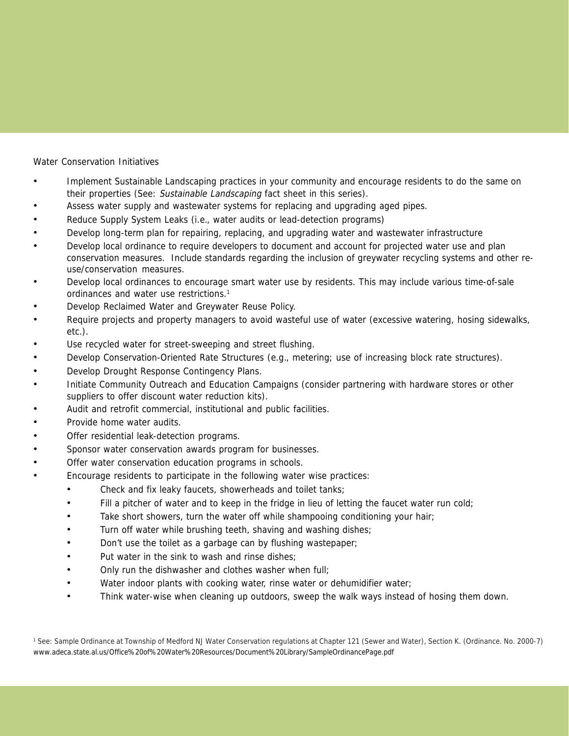Water Conservation Initiatives

- Implement Sustainable Landscaping practices in your community and encourage residents to do the same on their properties (See: Sustainable Landscaping fact sheet in this series).
- Assess water supply and wastewater systems for replacing and upgrading aged pipes.
- Reduce Supply System Leaks (i.e., water audits or lead-detection programs)
- Develop long-term plan for repairing, replacing, and upgrading water and wastewater infrastructure
- Develop local ordinance to require developers to document and account for projected water use and plan conservation measures. Include standards regarding the inclusion of greywater recycling systems and other reuse/conservation measures.
- Develop local ordinances to encourage smart water use by residents. This may include various time-of-sale ordinances and water use restrictions.1
- Develop Reclaimed Water and Greywater Reuse Policy.
- Require projects and property managers to avoid wasteful use of water (excessive watering, hosing sidewalks, etc.).
- Use recycled water for street-sweeping and street flushing.
- Develop Conservation-Oriented Rate Structures (e.g., metering; use of increasing block rate structures).
- Develop Drought Response Contingency Plans.
- Initiate Community Outreach and Education Campaigns (consider partnering with hardware stores or other suppliers to offer discount water reduction kits).
- Audit and retrofit commercial, institutional and public facilities.
- Provide home water audits.
- Offer residential leak-detection programs.
- Sponsor water conservation awards program for businesses.
- Offer water conservation education programs in schools.
- Encourage residents to participate in the following water wise practices:
	- Check and fix leaky faucets, showerheads and toilet tanks;
	- Fill a pitcher of water and to keep in the fridge in lieu of letting the faucet water run cold;
	- Take short showers, turn the water off while shampooing conditioning your hair;
	- Turn off water while brushing teeth, shaving and washing dishes;
	- Don't use the toilet as a garbage can by flushing wastepaper;
	- Put water in the sink to wash and rinse dishes;
	- Only run the dishwasher and clothes washer when full;
	- Water indoor plants with cooking water, rinse water or dehumidifier water;
	- Think water-wise when cleaning up outdoors, sweep the walk ways instead of hosing them down.

<sup>1</sup> See: Sample Ordinance at Township of Medford NJ Water Conservation regulations at Chapter 121 (Sewer and Water), Section K. (Ordinance. No. 2000-7) www.adeca.state.al.us/Office%20of%20Water%20Resources/Document%20Library/SampleOrdinancePage.pdf